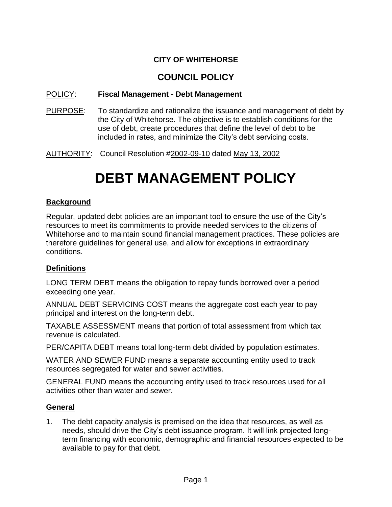### **CITY OF WHITEHORSE**

## **COUNCIL POLICY**

#### POLICY: **Fiscal Management** - **Debt Management**

- PURPOSE: To standardize and rationalize the issuance and management of debt by the City of Whitehorse. The objective is to establish conditions for the use of debt, create procedures that define the level of debt to be included in rates, and minimize the City's debt servicing costs.
- AUTHORITY: Council Resolution #2002-09-10 dated May 13, 2002

# **DEBT MANAGEMENT POLICY**

#### **Background**

Regular, updated debt policies are an important tool to ensure the use of the City's resources to meet its commitments to provide needed services to the citizens of Whitehorse and to maintain sound financial management practices. These policies are therefore guidelines for general use, and allow for exceptions in extraordinary conditions*.*

#### **Definitions**

LONG TERM DEBT means the obligation to repay funds borrowed over a period exceeding one year.

ANNUAL DEBT SERVICING COST means the aggregate cost each year to pay principal and interest on the long-term debt.

TAXABLE ASSESSMENT means that portion of total assessment from which tax revenue is calculated.

PER/CAPITA DEBT means total long-term debt divided by population estimates.

WATER AND SEWER FUND means a separate accounting entity used to track resources segregated for water and sewer activities.

GENERAL FUND means the accounting entity used to track resources used for all activities other than water and sewer.

#### **General**

1. The debt capacity analysis is premised on the idea that resources, as well as needs, should drive the City's debt issuance program. It will link projected longterm financing with economic, demographic and financial resources expected to be available to pay for that debt.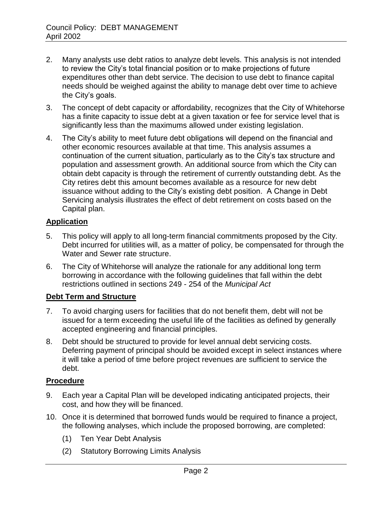- 2. Many analysts use debt ratios to analyze debt levels. This analysis is not intended to review the City's total financial position or to make projections of future expenditures other than debt service. The decision to use debt to finance capital needs should be weighed against the ability to manage debt over time to achieve the City's goals.
- 3. The concept of debt capacity or affordability, recognizes that the City of Whitehorse has a finite capacity to issue debt at a given taxation or fee for service level that is significantly less than the maximums allowed under existing legislation.
- 4. The City's ability to meet future debt obligations will depend on the financial and other economic resources available at that time. This analysis assumes a continuation of the current situation, particularly as to the City's tax structure and population and assessment growth. An additional source from which the City can obtain debt capacity is through the retirement of currently outstanding debt. As the City retires debt this amount becomes available as a resource for new debt issuance without adding to the City's existing debt position. A Change in Debt Servicing analysis illustrates the effect of debt retirement on costs based on the Capital plan.

#### **Application**

- 5. This policy will apply to all long-term financial commitments proposed by the City. Debt incurred for utilities will, as a matter of policy, be compensated for through the Water and Sewer rate structure.
- 6. The City of Whitehorse will analyze the rationale for any additional long term borrowing in accordance with the following guidelines that fall within the debt restrictions outlined in sections 249 - 254 of the *Municipal Act*

#### **Debt Term and Structure**

- 7. To avoid charging users for facilities that do not benefit them, debt will not be issued for a term exceeding the useful life of the facilities as defined by generally accepted engineering and financial principles.
- 8. Debt should be structured to provide for level annual debt servicing costs. Deferring payment of principal should be avoided except in select instances where it will take a period of time before project revenues are sufficient to service the debt.

#### **Procedure**

- 9. Each year a Capital Plan will be developed indicating anticipated projects, their cost, and how they will be financed.
- 10. Once it is determined that borrowed funds would be required to finance a project, the following analyses, which include the proposed borrowing, are completed:
	- (1) Ten Year Debt Analysis
	- (2) Statutory Borrowing Limits Analysis